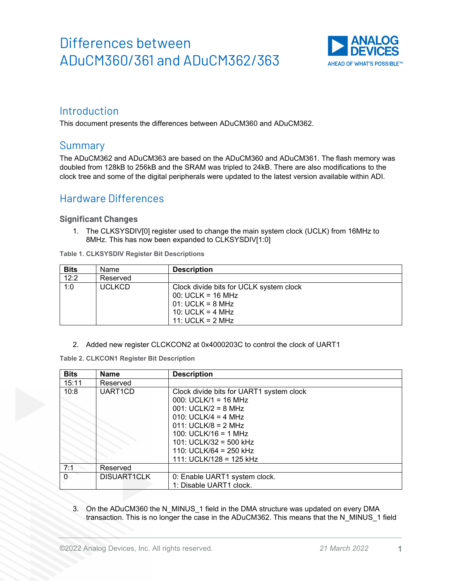

### Introduction

This document presents the differences between ADuCM360 and ADuCM362.

### **Summary**

The ADuCM362 and ADuCM363 are based on the ADuCM360 and ADuCM361. The flash memory was doubled from 128kB to 256kB and the SRAM was tripled to 24kB. There are also modifications to the clock tree and some of the digital peripherals were updated to the latest version available within ADI.

### Hardware Differences

#### **Significant Changes**

1. The CLKSYSDIV[0] register used to change the main system clock (UCLK) from 16MHz to 8MHz. This has now been expanded to CLKSYSDIV[1:0]

**Table 1. CLKSYSDIV Register Bit Descriptions**

| <b>Bits</b> | Name          | <b>Description</b>                                                                                                               |
|-------------|---------------|----------------------------------------------------------------------------------------------------------------------------------|
| 12:2        | Reserved      |                                                                                                                                  |
| 1:0         | <b>UCLKCD</b> | Clock divide bits for UCLK system clock<br>$00: UCLK = 16 MHz$<br>$01: UCLK = 8 MHz$<br>10: UCLK = $4$ MHz<br>11: UCLK = $2$ MHz |

2. Added new register CLCKCON2 at 0x4000203C to control the clock of UART1

**Table 2. CLKCON1 Register Bit Description**

| <b>Bits</b>    | <b>Name</b>          | <b>Description</b>                       |
|----------------|----------------------|------------------------------------------|
| 15:11          | Reserved             |                                          |
| 10:8           | UART <sub>1</sub> CD | Clock divide bits for UART1 system clock |
|                |                      | 000: UCLK/1 = 16 MHz                     |
|                |                      | $001: UCLK/2 = 8 MHz$                    |
|                |                      | $010: UCLK/4 = 4 MHz$                    |
|                |                      | 011: UCLK/8 = 2 MHz                      |
|                |                      | 100: UCLK/16 = 1 MHz                     |
|                |                      | 101: UCLK/32 = 500 kHz                   |
|                |                      | 110: UCLK/64 = 250 kHz                   |
|                |                      | 111: UCLK/128 = 125 kHz                  |
| 7:1            | Reserved             |                                          |
| $\overline{0}$ | <b>DISUART1CLK</b>   | 0: Enable UART1 system clock.            |
|                |                      | 1: Disable UART1 clock.                  |

3. On the ADuCM360 the N\_MINUS 1 field in the DMA structure was updated on every DMA transaction. This is no longer the case in the ADuCM362. This means that the N\_MINUS\_1 field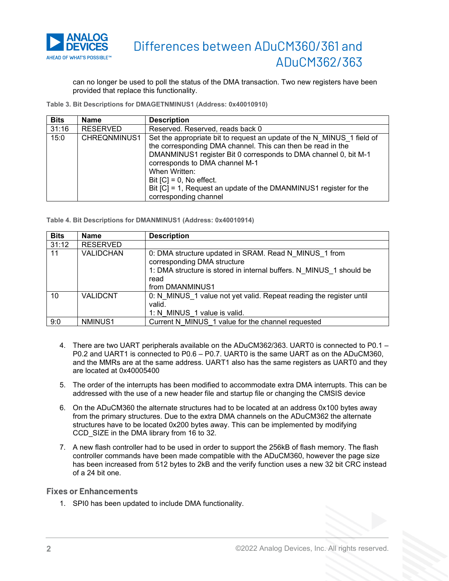

can no longer be used to poll the status of the DMA transaction. Two new registers have been provided that replace this functionality.

**Table 3. Bit Descriptions for DMAGETNMINUS1 (Address: 0x40010910)**

| <b>Bits</b> | <b>Name</b>  | <b>Description</b>                                                                                                                                                                                                                                                                                                                                                                      |
|-------------|--------------|-----------------------------------------------------------------------------------------------------------------------------------------------------------------------------------------------------------------------------------------------------------------------------------------------------------------------------------------------------------------------------------------|
| 31:16       | RESERVED     | Reserved. Reserved, reads back 0                                                                                                                                                                                                                                                                                                                                                        |
| 15:0        | CHREQNMINUS1 | Set the appropriate bit to request an update of the N MINUS 1 field of<br>the corresponding DMA channel. This can then be read in the<br>DMANMINUS1 register Bit 0 corresponds to DMA channel 0, bit M-1<br>corresponds to DMA channel M-1<br>When Written:<br>Bit $[C] = 0$ , No effect.<br>Bit [C] = 1, Request an update of the DMANMINUS1 register for the<br>corresponding channel |

**Table 4. Bit Descriptions for DMANMINUS1 (Address: 0x40010914)**

| <b>Bits</b> | <b>Name</b>      | <b>Description</b>                                                                                                                                                                     |
|-------------|------------------|----------------------------------------------------------------------------------------------------------------------------------------------------------------------------------------|
| 31:12       | <b>RESERVED</b>  |                                                                                                                                                                                        |
| 11          | <b>VALIDCHAN</b> | 0: DMA structure updated in SRAM. Read N MINUS 1 from<br>corresponding DMA structure<br>1: DMA structure is stored in internal buffers. N MINUS 1 should be<br>read<br>from DMANMINUS1 |
| 10          | <b>VALIDCNT</b>  | 0: N MINUS 1 value not yet valid. Repeat reading the register until<br>valid.<br>1: N MINUS 1 value is valid.                                                                          |
| 9:0         | NMINUS1          | Current N MINUS 1 value for the channel requested                                                                                                                                      |

- 4. There are two UART peripherals available on the ADuCM362/363. UART0 is connected to P0.1 P0.2 and UART1 is connected to P0.6 – P0.7. UART0 is the same UART as on the ADuCM360, and the MMRs are at the same address. UART1 also has the same registers as UART0 and they are located at 0x40005400
- 5. The order of the interrupts has been modified to accommodate extra DMA interrupts. This can be addressed with the use of a new header file and startup file or changing the CMSIS device
- 6. On the ADuCM360 the alternate structures had to be located at an address 0x100 bytes away from the primary structures. Due to the extra DMA channels on the ADuCM362 the alternate structures have to be located 0x200 bytes away. This can be implemented by modifying CCD\_SIZE in the DMA library from 16 to 32.
- 7. A new flash controller had to be used in order to support the 256kB of flash memory. The flash controller commands have been made compatible with the ADuCM360, however the page size has been increased from 512 bytes to 2kB and the verify function uses a new 32 bit CRC instead of a 24 bit one.

#### **Fixes or Enhancements**

1. SPI0 has been updated to include DMA functionality.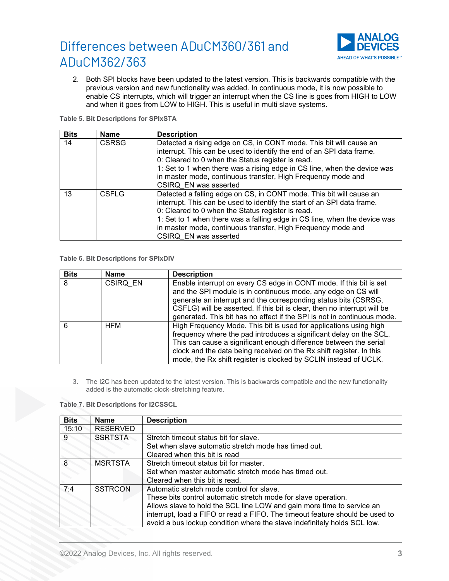

2. Both SPI blocks have been updated to the latest version. This is backwards compatible with the previous version and new functionality was added. In continuous mode, it is now possible to enable CS interrupts, which will trigger an interrupt when the CS line is goes from HIGH to LOW and when it goes from LOW to HIGH. This is useful in multi slave systems.

#### **Table 5. Bit Descriptions for SPIxSTA**

| <b>Bits</b> | <b>Name</b>  | <b>Description</b>                                                                                                                                                                                                                                                                                                                                                        |
|-------------|--------------|---------------------------------------------------------------------------------------------------------------------------------------------------------------------------------------------------------------------------------------------------------------------------------------------------------------------------------------------------------------------------|
| 14          | <b>CSRSG</b> | Detected a rising edge on CS, in CONT mode. This bit will cause an<br>interrupt. This can be used to identify the end of an SPI data frame.<br>0: Cleared to 0 when the Status register is read.<br>1: Set to 1 when there was a rising edge in CS line, when the device was<br>in master mode, continuous transfer, High Frequency mode and<br>CSIRQ EN was asserted     |
| 13          | <b>CSFLG</b> | Detected a falling edge on CS, in CONT mode. This bit will cause an<br>interrupt. This can be used to identify the start of an SPI data frame.<br>0: Cleared to 0 when the Status register is read.<br>1: Set to 1 when there was a falling edge in CS line, when the device was<br>in master mode, continuous transfer, High Frequency mode and<br>CSIRQ EN was asserted |

#### **Table 6. Bit Descriptions for SPIxDIV**

| <b>Bits</b> | Name       | <b>Description</b>                                                                                                                                                                                                                                                                                                                                            |
|-------------|------------|---------------------------------------------------------------------------------------------------------------------------------------------------------------------------------------------------------------------------------------------------------------------------------------------------------------------------------------------------------------|
| 8           | CSIRQ EN   | Enable interrupt on every CS edge in CONT mode. If this bit is set<br>and the SPI module is in continuous mode, any edge on CS will<br>generate an interrupt and the corresponding status bits (CSRSG,<br>CSFLG) will be asserted. If this bit is clear, then no interrupt will be<br>generated. This bit has no effect if the SPI is not in continuous mode. |
| հ           | <b>HFM</b> | High Frequency Mode. This bit is used for applications using high<br>frequency where the pad introduces a significant delay on the SCL.<br>This can cause a significant enough difference between the serial<br>clock and the data being received on the Rx shift register. In this<br>mode, the Rx shift register is clocked by SCLIN instead of UCLK.       |

3. The I2C has been updated to the latest version. This is backwards compatible and the new functionality added is the automatic clock-stretching feature.

#### **Table 7. Bit Descriptions for I2CSSCL**

| <b>Bits</b> | <b>Name</b>     | <b>Description</b>                                                           |
|-------------|-----------------|------------------------------------------------------------------------------|
| 15:10       | <b>RESERVED</b> |                                                                              |
| 9           | <b>SSRTSTA</b>  | Stretch timeout status bit for slave.                                        |
|             |                 | Set when slave automatic stretch mode has timed out.                         |
|             |                 | Cleared when this bit is read                                                |
|             | MSRTSTA         | Stretch timeout status bit for master.                                       |
|             |                 | Set when master automatic stretch mode has timed out.                        |
|             |                 | Cleared when this bit is read.                                               |
| 7:4         | <b>SSTRCON</b>  | Automatic stretch mode control for slave.                                    |
|             |                 | These bits control automatic stretch mode for slave operation.               |
|             |                 | Allows slave to hold the SCL line LOW and gain more time to service an       |
|             |                 | interrupt, load a FIFO or read a FIFO. The timeout feature should be used to |
|             |                 | avoid a bus lockup condition where the slave indefinitely holds SCL low.     |